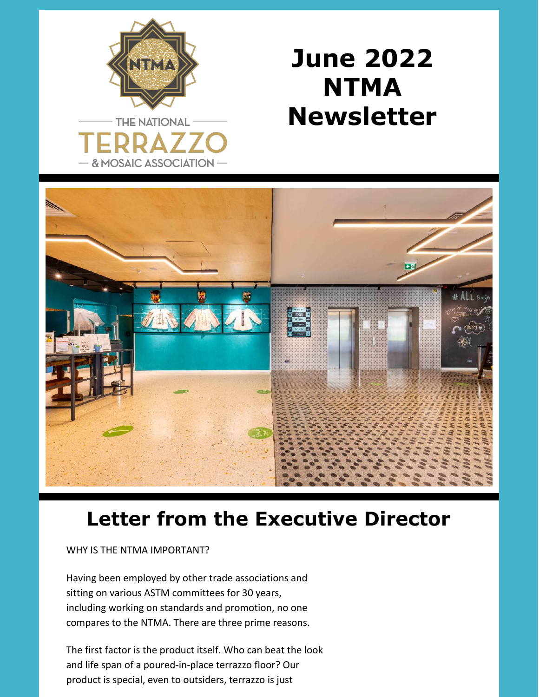

## **June 2022 NTMA Newsletter**



## **Letter from the Executive Director**

WHY IS THE NTMA IMPORTANT?

Having been employed by other trade associations and sitting on various ASTM committees for 30 years, including working on standards and promotion, no one compares to the NTMA. There are three prime reasons.

The first factor is the product itself. Who can beat the look and life span of a poured-in-place terrazzo floor? Our product is special, even to outsiders, terrazzo is just